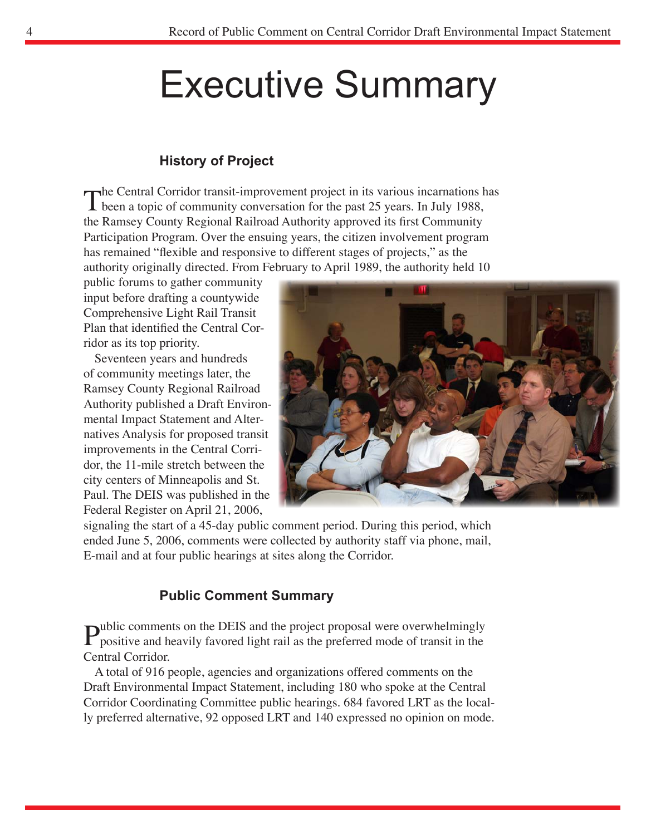# Executive Summary

### **History of Project**

The Central Corridor transit-improvement project in its various incarnations has<br>been a topic of community conversation for the past 25 years. In July 1988, the Ramsey County Regional Railroad Authority approved its first Community Participation Program. Over the ensuing years, the citizen involvement program has remained "flexible and responsive to different stages of projects," as the authority originally directed. From February to April 1989, the authority held 10

public forums to gather community input before drafting a countywide Comprehensive Light Rail Transit Plan that identified the Central Corridor as its top priority.

Seventeen years and hundreds of community meetings later, the Ramsey County Regional Railroad Authority published a Draft Environmental Impact Statement and Alternatives Analysis for proposed transit improvements in the Central Corridor, the 11-mile stretch between the city centers of Minneapolis and St. Paul. The DEIS was published in the Federal Register on April 21, 2006,



signaling the start of a 45-day public comment period. During this period, which ended June 5, 2006, comments were collected by authority staff via phone, mail, E-mail and at four public hearings at sites along the Corridor.

### **Public Comment Summary**

**Public comments on the DEIS and the project proposal were overwhelmingly** positive and heavily favored light rail as the preferred mode of transit in the Central Corridor.

A total of 916 people, agencies and organizations offered comments on the Draft Environmental Impact Statement, including 180 who spoke at the Central Corridor Coordinating Committee public hearings. 684 favored LRT as the locally preferred alternative, 92 opposed LRT and 140 expressed no opinion on mode.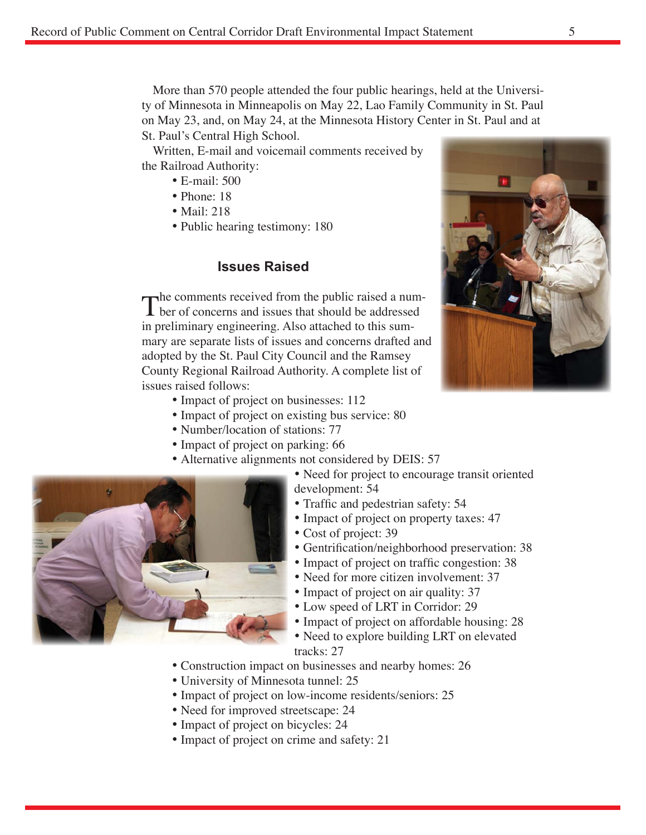More than 570 people attended the four public hearings, held at the University of Minnesota in Minneapolis on May 22, Lao Family Community in St. Paul on May 23, and, on May 24, at the Minnesota History Center in St. Paul and at St. Paul's Central High School.

Written, E-mail and voicemail comments received by the Railroad Authority:

- E-mail: 500
- Phone: 18
- Mail: 218
- Public hearing testimony: 180

#### **Issues Raised**

The comments received from the public raised a num-<br>ber of concerns and issues that should be addressed in preliminary engineering. Also attached to this summary are separate lists of issues and concerns drafted and adopted by the St. Paul City Council and the Ramsey County Regional Railroad Authority. A complete list of issues raised follows:

- Impact of project on businesses: 112
- Impact of project on existing bus service: 80
- Number/location of stations: 77
- Impact of project on parking: 66
- Alternative alignments not considered by DEIS: 57
	- Need for project to encourage transit oriented development: 54
	- Traffic and pedestrian safety: 54
	- Impact of project on property taxes: 47
	- Cost of project: 39
	- Gentrification/neighborhood preservation: 38
	- Impact of project on traffic congestion: 38
	- Need for more citizen involvement: 37
	- Impact of project on air quality: 37
	- Low speed of LRT in Corridor: 29
	- Impact of project on affordable housing: 28
	- Need to explore building LRT on elevated tracks: 27
- Construction impact on businesses and nearby homes: 26
- University of Minnesota tunnel: 25
- Impact of project on low-income residents/seniors: 25
- Need for improved streetscape: 24
- Impact of project on bicycles: 24
- Impact of project on crime and safety: 21



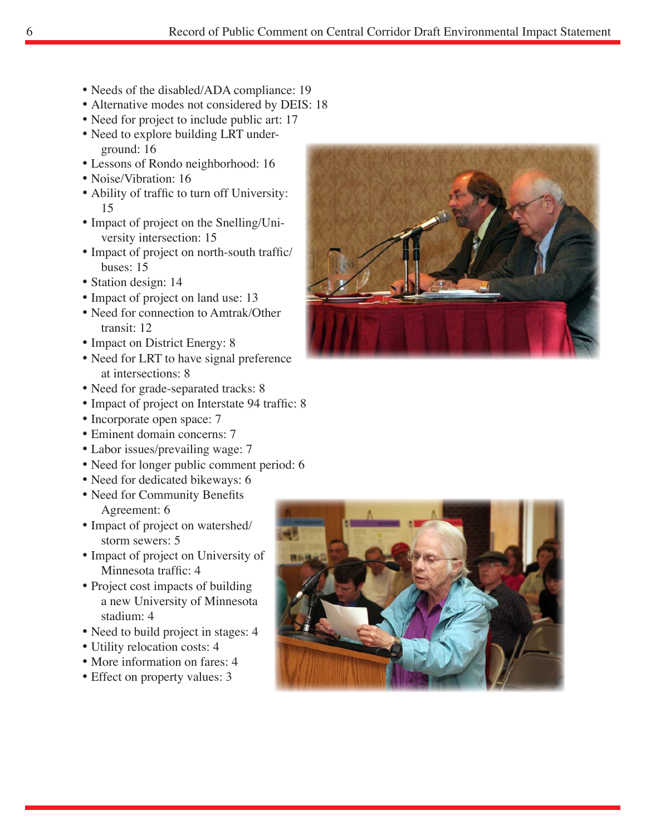- Needs of the disabled/ADA compliance: 19
- Alternative modes not considered by DEIS: 18
- Need for project to include public art: 17
- Need to explore building LRT underground: 16
- Lessons of Rondo neighborhood: 16
- Noise/Vibration: 16
- Ability of traffic to turn off University: 15
- Impact of project on the Snelling/University intersection: 15
- Impact of project on north-south traffic/ buses: 15
- Station design: 14
- Impact of project on land use: 13
- Need for connection to Amtrak/Other transit: 12
- Impact on District Energy: 8
- Need for LRT to have signal preference at intersections: 8
- Need for grade-separated tracks: 8
- Impact of project on Interstate 94 traffic: 8
- Incorporate open space: 7
- Eminent domain concerns: 7
- Labor issues/prevailing wage: 7
- Need for longer public comment period: 6
- Need for dedicated bikeways: 6
- Need for Community Benefits Agreement: 6
- Impact of project on watershed/ storm sewers: 5
- Impact of project on University of Minnesota traffic: 4
- Project cost impacts of building a new University of Minnesota stadium: 4
- Need to build project in stages: 4
- Utility relocation costs: 4
- More information on fares: 4
- Effect on property values: 3



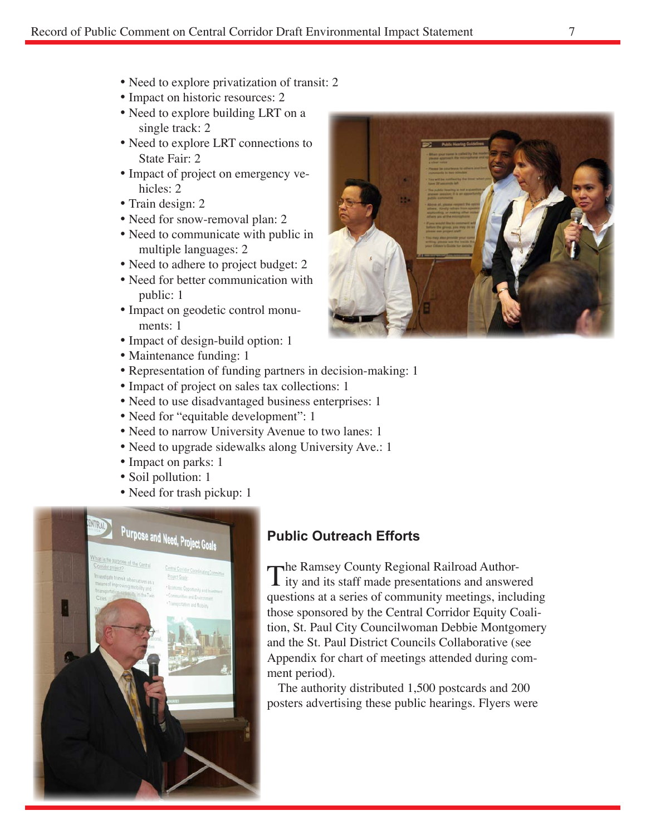- Need to explore privatization of transit: 2
- Impact on historic resources: 2
- Need to explore building LRT on a single track: 2
- Need to explore LRT connections to State Fair: 2
- Impact of project on emergency vehicles: 2
- Train design: 2
- Need for snow-removal plan: 2
- Need to communicate with public in multiple languages: 2
- Need to adhere to project budget: 2
- Need for better communication with public: 1
- Impact on geodetic control monuments: 1
- Impact of design-build option: 1
- Maintenance funding: 1
- Representation of funding partners in decision-making: 1
- Impact of project on sales tax collections: 1
- Need to use disadvantaged business enterprises: 1
- Need for "equitable development": 1
- Need to narrow University Avenue to two lanes: 1
- Need to upgrade sidewalks along University Ave.: 1
- Impact on parks: 1
- Soil pollution: 1
- Need for trash pickup: 1



## **Public Outreach Efforts**

The Ramsey County Regional Railroad Author-<br>Ity and its staff made presentations and answered questions at a series of community meetings, including those sponsored by the Central Corridor Equity Coalition, St. Paul City Councilwoman Debbie Montgomery and the St. Paul District Councils Collaborative (see Appendix for chart of meetings attended during comment period).

The authority distributed 1,500 postcards and 200 posters advertising these public hearings. Flyers were